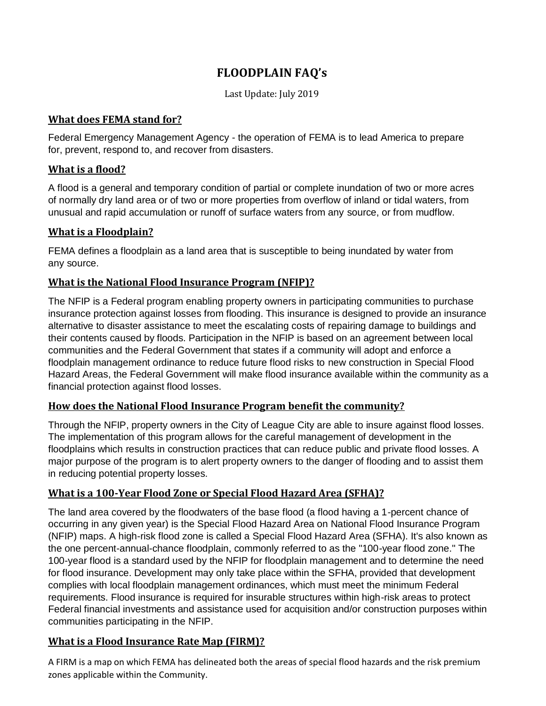# **FLOODPLAIN FAQ's**

Last Update: July 2019

#### **What does FEMA stand for?**

Federal Emergency Management Agency - the operation of FEMA is to lead America to prepare for, prevent, respond to, and recover from disasters.

## **What is a flood?**

A flood is a general and temporary condition of partial or complete inundation of two or more acres of normally dry land area or of two or more properties from overflow of inland or tidal waters, from unusual and rapid accumulation or runoff of surface waters from any source, or from mudflow.

# **What is a Floodplain?**

FEMA defines a floodplain as a land area that is susceptible to being inundated by water from any source.

# **What is the National Flood Insurance Program (NFIP)?**

The NFIP is a Federal program enabling property owners in participating communities to purchase insurance protection against losses from flooding. This insurance is designed to provide an insurance alternative to disaster assistance to meet the escalating costs of repairing damage to buildings and their contents caused by floods. Participation in the NFIP is based on an agreement between local communities and the Federal Government that states if a community will adopt and enforce a floodplain management ordinance to reduce future flood risks to new construction in Special Flood Hazard Areas, the Federal Government will make flood insurance available within the community as a financial protection against flood losses.

# **How does the National Flood Insurance Program benefit the community?**

Through the NFIP, property owners in the City of League City are able to insure against flood losses. The implementation of this program allows for the careful management of development in the floodplains which results in construction practices that can reduce public and private flood losses. A major purpose of the program is to alert property owners to the danger of flooding and to assist them in reducing potential property losses.

# **What is a 100-Year Flood Zone or Special Flood Hazard Area (SFHA)?**

The land area covered by the floodwaters of the base flood (a flood having a 1-percent chance of occurring in any given year) is the Special Flood Hazard Area on National Flood Insurance Program (NFIP) maps. A high-risk flood zone is called a Special Flood Hazard Area (SFHA). It's also known as the one percent-annual-chance floodplain, commonly referred to as the "100-year flood zone." The 100-year flood is a standard used by the NFIP for floodplain management and to determine the need for flood insurance. Development may only take place within the SFHA, provided that development complies with local floodplain management ordinances, which must meet the minimum Federal requirements. Flood insurance is required for insurable structures within high-risk areas to protect Federal financial investments and assistance used for acquisition and/or construction purposes within communities participating in the NFIP.

# **What is a Flood Insurance Rate Map (FIRM)?**

A FIRM is a map on which FEMA has delineated both the areas of special flood hazards and the risk premium zones applicable within the Community.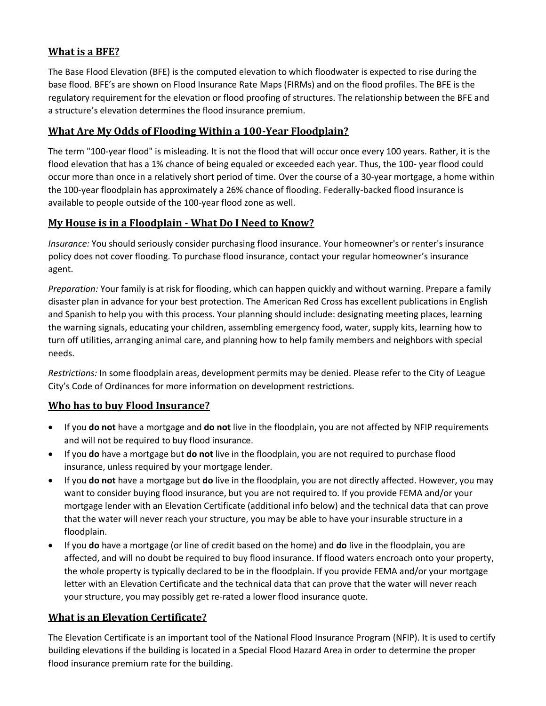## **What is a BFE?**

The Base Flood Elevation (BFE) is the computed elevation to which floodwater is expected to rise during the base flood. BFE's are shown on Flood Insurance Rate Maps (FIRMs) and on the flood profiles. The BFE is the regulatory requirement for the elevation or flood proofing of structures. The relationship between the BFE and a structure's elevation determines the flood insurance premium.

#### **What Are My Odds of Flooding Within a 100-Year Floodplain?**

The term "100-year flood" is misleading. It is not the flood that will occur once every 100 years. Rather, it is the flood elevation that has a 1% chance of being equaled or exceeded each year. Thus, the 100- year flood could occur more than once in a relatively short period of time. Over the course of a 30-year mortgage, a home within the 100-year floodplain has approximately a 26% chance of flooding. Federally-backed flood insurance is available to people outside of the 100-year flood zone as well.

#### **My House is in a Floodplain - What Do I Need to Know?**

*Insurance:* You should seriously consider purchasing flood insurance. Your homeowner's or renter's insurance policy does not cover flooding. To purchase flood insurance, contact your regular homeowner's insurance agent.

*Preparation:* Your family is at risk for flooding, which can happen quickly and without warning. Prepare a family disaster plan in advance for your best protection. The American Red Cross has excellent publications in English and Spanish to help you with this process. Your planning should include: designating meeting places, learning the warning signals, educating your children, assembling emergency food, water, supply kits, learning how to turn off utilities, arranging animal care, and planning how to help family members and neighbors with special needs.

*Restrictions:* In some floodplain areas, development permits may be denied. Please refer to the City of League City's Code of Ordinances for more information on development restrictions.

#### **Who has to buy Flood Insurance?**

- If you **do not** have a mortgage and **do not** live in the floodplain, you are not affected by NFIP requirements and will not be required to buy flood insurance.
- If you **do** have a mortgage but **do not** live in the floodplain, you are not required to purchase flood insurance, unless required by your mortgage lender.
- If you **do not** have a mortgage but **do** live in the floodplain, you are not directly affected. However, you may want to consider buying flood insurance, but you are not required to. If you provide FEMA and/or your mortgage lender with an Elevation Certificate (additional info below) and the technical data that can prove that the water will never reach your structure, you may be able to have your insurable structure in a floodplain.
- If you **do** have a mortgage (or line of credit based on the home) and **do** live in the floodplain, you are affected, and will no doubt be required to buy flood insurance. If flood waters encroach onto your property, the whole property is typically declared to be in the floodplain. If you provide FEMA and/or your mortgage letter with an Elevation Certificate and the technical data that can prove that the water will never reach your structure, you may possibly get re-rated a lower flood insurance quote.

#### **What is an Elevation Certificate?**

The Elevation Certificate is an important tool of the National Flood Insurance Program (NFIP). It is used to certify building elevations if the building is located in a Special Flood Hazard Area in order to determine the proper flood insurance premium rate for the building.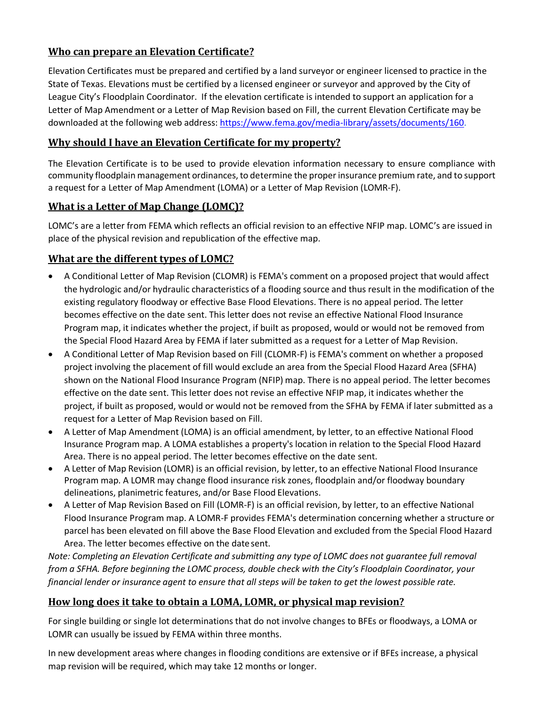## **Who can prepare an Elevation Certificate?**

Elevation Certificates must be prepared and certified by a land surveyor or engineer licensed to practice in the State of Texas. Elevations must be certified by a licensed engineer or surveyor and approved by the City of League City's Floodplain Coordinator. If the elevation certificate is intended to support an application for a Letter of Map Amendment or a Letter of Map Revision based on Fill, the current Elevation Certificate may be downloaded at the following web address: [https://www.fema.gov/media-library/assets/documents/160.](https://www.fema.gov/media-library/assets/documents/160)

#### **Why should I have an Elevation Certificate for my property?**

The Elevation Certificate is to be used to provide elevation information necessary to ensure compliance with community floodplain management ordinances, to determine the proper insurance premium rate, and to support a request for a Letter of Map Amendment (LOMA) or a Letter of Map Revision (LOMR-F).

#### **What is a Letter of Map Change (LOMC)?**

LOMC's are a letter from FEMA which reflects an official revision to an effective NFIP map. LOMC's are issued in place of the physical revision and republication of the effective map.

## **What are the different types of LOMC?**

- A Conditional Letter of Map Revision (CLOMR) is FEMA's comment on a proposed project that would affect the hydrologic and/or hydraulic characteristics of a flooding source and thus result in the modification of the existing regulatory floodway or effective Base Flood Elevations. There is no appeal period. The letter becomes effective on the date sent. This letter does not revise an effective National Flood Insurance Program map, it indicates whether the project, if built as proposed, would or would not be removed from the Special Flood Hazard Area by FEMA if later submitted as a request for a Letter of Map Revision.
- A Conditional Letter of Map Revision based on Fill (CLOMR-F) is FEMA's comment on whether a proposed project involving the placement of fill would exclude an area from the Special Flood Hazard Area (SFHA) shown on the National Flood Insurance Program (NFIP) map. There is no appeal period. The letter becomes effective on the date sent. This letter does not revise an effective NFIP map, it indicates whether the project, if built as proposed, would or would not be removed from the SFHA by FEMA if later submitted as a request for a Letter of Map Revision based on Fill.
- A Letter of Map Amendment (LOMA) is an official amendment, by letter, to an effective National Flood Insurance Program map. A LOMA establishes a property's location in relation to the Special Flood Hazard Area. There is no appeal period. The letter becomes effective on the date sent.
- A Letter of Map Revision (LOMR) is an official revision, by letter, to an effective National Flood Insurance Program map. A LOMR may change flood insurance risk zones, floodplain and/or floodway boundary delineations, planimetric features, and/or Base Flood Elevations.
- A Letter of Map Revision Based on Fill (LOMR-F) is an official revision, by letter, to an effective National Flood Insurance Program map. A LOMR-F provides FEMA's determination concerning whether a structure or parcel has been elevated on fill above the Base Flood Elevation and excluded from the Special Flood Hazard Area. The letter becomes effective on the date sent.

*Note: Completing an Elevation Certificate and submitting any type of LOMC does not guarantee full removal from a SFHA. Before beginning the LOMC process, double check with the City's Floodplain Coordinator, your financial lender or insurance agent to ensure that all steps will be taken to get the lowest possible rate.*

#### **How long does it take to obtain a LOMA, LOMR, or physical map revision?**

For single building or single lot determinations that do not involve changes to BFEs or floodways, a LOMA or LOMR can usually be issued by FEMA within three months.

In new development areas where changes in flooding conditions are extensive or if BFEs increase, a physical map revision will be required, which may take 12 months or longer.